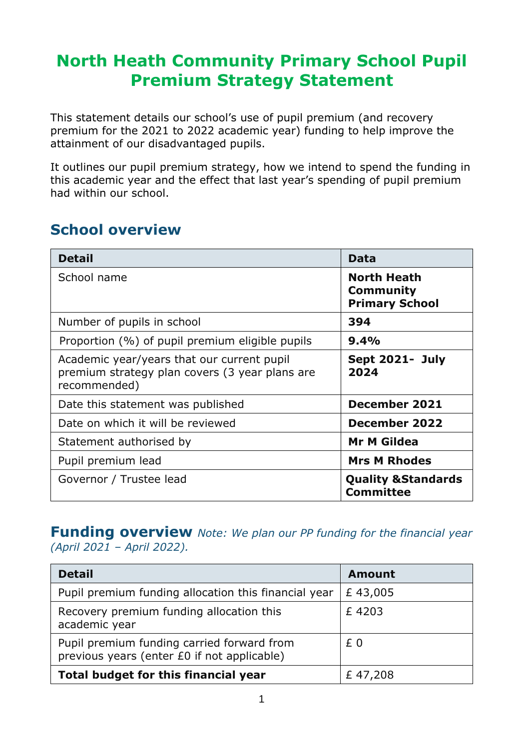## **North Heath Community Primary School Pupil Premium Strategy Statement**

This statement details our school's use of pupil premium (and recovery premium for the 2021 to 2022 academic year) funding to help improve the attainment of our disadvantaged pupils.

It outlines our pupil premium strategy, how we intend to spend the funding in this academic year and the effect that last year's spending of pupil premium had within our school.

#### **School overview**

| <b>Detail</b>                                                                                                | Data                                                     |
|--------------------------------------------------------------------------------------------------------------|----------------------------------------------------------|
| School name                                                                                                  | <b>North Heath</b><br>Community<br><b>Primary School</b> |
| Number of pupils in school                                                                                   | 394                                                      |
| Proportion (%) of pupil premium eligible pupils                                                              | 9.4%                                                     |
| Academic year/years that our current pupil<br>premium strategy plan covers (3 year plans are<br>recommended) | Sept 2021- July<br>2024                                  |
| Date this statement was published                                                                            | <b>December 2021</b>                                     |
| Date on which it will be reviewed                                                                            | December 2022                                            |
| Statement authorised by                                                                                      | <b>Mr M Gildea</b>                                       |
| Pupil premium lead                                                                                           | <b>Mrs M Rhodes</b>                                      |
| Governor / Trustee lead                                                                                      | <b>Quality &amp; Standards</b><br><b>Committee</b>       |

#### **Funding overview** *Note: We plan our PP funding for the financial year (April 2021 – April 2022).*

| <b>Detail</b>                                                                             | <b>Amount</b> |
|-------------------------------------------------------------------------------------------|---------------|
| Pupil premium funding allocation this financial year                                      | £43,005       |
| Recovery premium funding allocation this<br>academic year                                 | £4203         |
| Pupil premium funding carried forward from<br>previous years (enter £0 if not applicable) | £0            |
| Total budget for this financial year                                                      | £47,208       |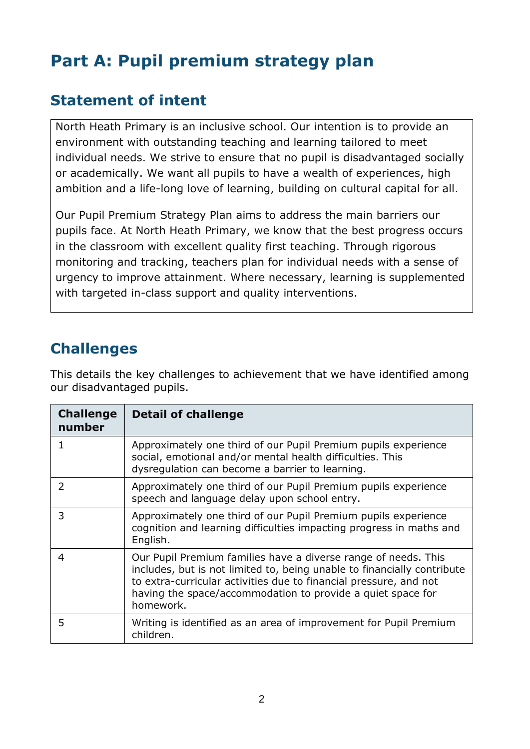## **Part A: Pupil premium strategy plan**

#### **Statement of intent**

North Heath Primary is an inclusive school. Our intention is to provide an environment with outstanding teaching and learning tailored to meet individual needs. We strive to ensure that no pupil is disadvantaged socially or academically. We want all pupils to have a wealth of experiences, high ambition and a life-long love of learning, building on cultural capital for all.

Our Pupil Premium Strategy Plan aims to address the main barriers our pupils face. At North Heath Primary, we know that the best progress occurs in the classroom with excellent quality first teaching. Through rigorous monitoring and tracking, teachers plan for individual needs with a sense of urgency to improve attainment. Where necessary, learning is supplemented with targeted in-class support and quality interventions.

### **Challenges**

This details the key challenges to achievement that we have identified among our disadvantaged pupils.

| <b>Challenge</b><br>number | <b>Detail of challenge</b>                                                                                                                                                                                                                                                                 |
|----------------------------|--------------------------------------------------------------------------------------------------------------------------------------------------------------------------------------------------------------------------------------------------------------------------------------------|
|                            | Approximately one third of our Pupil Premium pupils experience<br>social, emotional and/or mental health difficulties. This<br>dysregulation can become a barrier to learning.                                                                                                             |
| $\overline{2}$             | Approximately one third of our Pupil Premium pupils experience<br>speech and language delay upon school entry.                                                                                                                                                                             |
| 3                          | Approximately one third of our Pupil Premium pupils experience<br>cognition and learning difficulties impacting progress in maths and<br>English.                                                                                                                                          |
| 4                          | Our Pupil Premium families have a diverse range of needs. This<br>includes, but is not limited to, being unable to financially contribute<br>to extra-curricular activities due to financial pressure, and not<br>having the space/accommodation to provide a quiet space for<br>homework. |
| 5                          | Writing is identified as an area of improvement for Pupil Premium<br>children.                                                                                                                                                                                                             |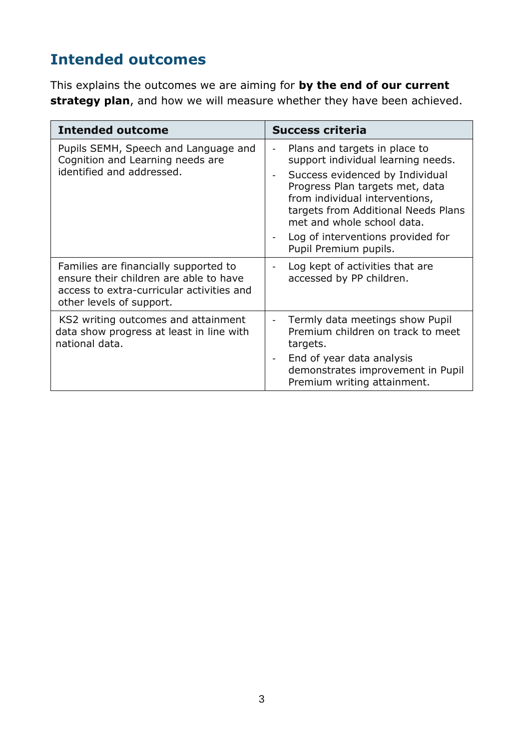### **Intended outcomes**

This explains the outcomes we are aiming for **by the end of our current strategy plan**, and how we will measure whether they have been achieved.

| <b>Intended outcome</b>                                                                                                                                  | <b>Success criteria</b>                                                                                                                                                                                                                                                                                                                                                                                |
|----------------------------------------------------------------------------------------------------------------------------------------------------------|--------------------------------------------------------------------------------------------------------------------------------------------------------------------------------------------------------------------------------------------------------------------------------------------------------------------------------------------------------------------------------------------------------|
| Pupils SEMH, Speech and Language and<br>Cognition and Learning needs are<br>identified and addressed.                                                    | Plans and targets in place to<br>$\qquad \qquad \blacksquare$<br>support individual learning needs.<br>Success evidenced by Individual<br>$\overline{\phantom{a}}$<br>Progress Plan targets met, data<br>from individual interventions,<br>targets from Additional Needs Plans<br>met and whole school data.<br>Log of interventions provided for<br>$\overline{\phantom{a}}$<br>Pupil Premium pupils. |
| Families are financially supported to<br>ensure their children are able to have<br>access to extra-curricular activities and<br>other levels of support. | Log kept of activities that are<br>$\overline{a}$<br>accessed by PP children.                                                                                                                                                                                                                                                                                                                          |
| KS2 writing outcomes and attainment<br>data show progress at least in line with<br>national data.                                                        | Termly data meetings show Pupil<br>Premium children on track to meet<br>targets.<br>End of year data analysis<br>$\overline{\phantom{a}}$<br>demonstrates improvement in Pupil<br>Premium writing attainment.                                                                                                                                                                                          |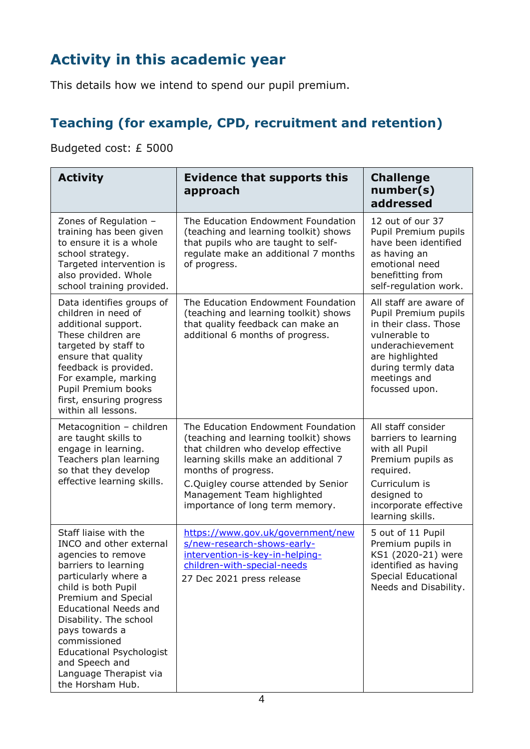### **Activity in this academic year**

This details how we intend to spend our pupil premium.

#### **Teaching (for example, CPD, recruitment and retention)**

Budgeted cost: £ 5000

| <b>Activity</b>                                                                                                                                                                                                                                                                                                                                                     | <b>Evidence that supports this</b><br>approach                                                                                                                                                                                                                                             | <b>Challenge</b><br>number(s)<br>addressed                                                                                                                                              |
|---------------------------------------------------------------------------------------------------------------------------------------------------------------------------------------------------------------------------------------------------------------------------------------------------------------------------------------------------------------------|--------------------------------------------------------------------------------------------------------------------------------------------------------------------------------------------------------------------------------------------------------------------------------------------|-----------------------------------------------------------------------------------------------------------------------------------------------------------------------------------------|
| Zones of Regulation -<br>training has been given<br>to ensure it is a whole<br>school strategy.<br>Targeted intervention is<br>also provided. Whole<br>school training provided.                                                                                                                                                                                    | The Education Endowment Foundation<br>(teaching and learning toolkit) shows<br>that pupils who are taught to self-<br>regulate make an additional 7 months<br>of progress.                                                                                                                 | 12 out of our 37<br>Pupil Premium pupils<br>have been identified<br>as having an<br>emotional need<br>benefitting from<br>self-regulation work.                                         |
| Data identifies groups of<br>children in need of<br>additional support.<br>These children are<br>targeted by staff to<br>ensure that quality<br>feedback is provided.<br>For example, marking<br>Pupil Premium books<br>first, ensuring progress<br>within all lessons.                                                                                             | The Education Endowment Foundation<br>(teaching and learning toolkit) shows<br>that quality feedback can make an<br>additional 6 months of progress.                                                                                                                                       | All staff are aware of<br>Pupil Premium pupils<br>in their class. Those<br>vulnerable to<br>underachievement<br>are highlighted<br>during termly data<br>meetings and<br>focussed upon. |
| Metacognition - children<br>are taught skills to<br>engage in learning.<br>Teachers plan learning<br>so that they develop<br>effective learning skills.                                                                                                                                                                                                             | The Education Endowment Foundation<br>(teaching and learning toolkit) shows<br>that children who develop effective<br>learning skills make an additional 7<br>months of progress.<br>C.Quigley course attended by Senior<br>Management Team highlighted<br>importance of long term memory. | All staff consider<br>barriers to learning<br>with all Pupil<br>Premium pupils as<br>required.<br>Curriculum is<br>designed to<br>incorporate effective<br>learning skills.             |
| Staff liaise with the<br>INCO and other external<br>agencies to remove<br>barriers to learning<br>particularly where a<br>child is both Pupil<br>Premium and Special<br><b>Educational Needs and</b><br>Disability. The school<br>pays towards a<br>commissioned<br><b>Educational Psychologist</b><br>and Speech and<br>Language Therapist via<br>the Horsham Hub. | https://www.gov.uk/government/new<br>s/new-research-shows-early-<br>intervention-is-key-in-helping-<br>children-with-special-needs<br>27 Dec 2021 press release                                                                                                                            | 5 out of 11 Pupil<br>Premium pupils in<br>KS1 (2020-21) were<br>identified as having<br><b>Special Educational</b><br>Needs and Disability.                                             |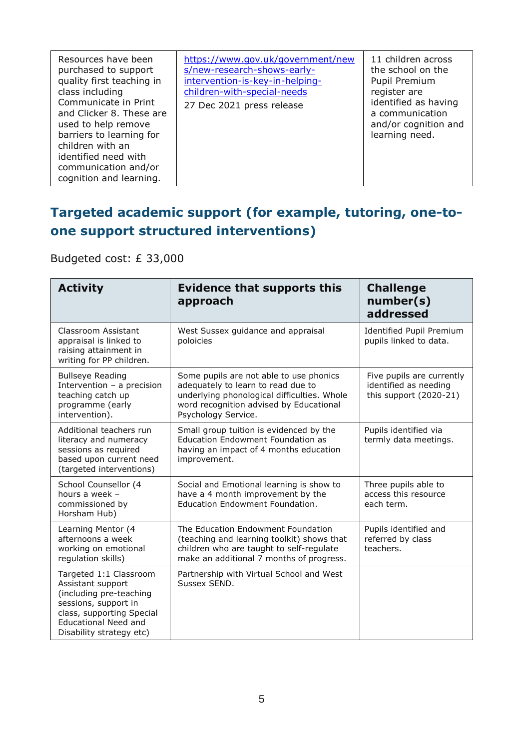| Resources have been<br>purchased to support<br>quality first teaching in<br>class including<br>Communicate in Print<br>and Clicker 8. These are<br>used to help remove<br>barriers to learning for<br>children with an<br>identified need with<br>communication and/or<br>cognition and learning. | https://www.gov.uk/government/new<br>s/new-research-shows-early-<br>intervention-is-key-in-helping-<br>children-with-special-needs<br>27 Dec 2021 press release | 11 children across<br>the school on the<br>Pupil Premium<br>register are<br>identified as having<br>a communication<br>and/or cognition and<br>learning need. |
|---------------------------------------------------------------------------------------------------------------------------------------------------------------------------------------------------------------------------------------------------------------------------------------------------|-----------------------------------------------------------------------------------------------------------------------------------------------------------------|---------------------------------------------------------------------------------------------------------------------------------------------------------------|
|---------------------------------------------------------------------------------------------------------------------------------------------------------------------------------------------------------------------------------------------------------------------------------------------------|-----------------------------------------------------------------------------------------------------------------------------------------------------------------|---------------------------------------------------------------------------------------------------------------------------------------------------------------|

#### **Targeted academic support (for example, tutoring, one-toone support structured interventions)**

Budgeted cost: £ 33,000

| <b>Activity</b>                                                                                                                                                                        | <b>Evidence that supports this</b><br>approach                                                                                                                                                 | <b>Challenge</b><br>number(s)<br>addressed                                   |
|----------------------------------------------------------------------------------------------------------------------------------------------------------------------------------------|------------------------------------------------------------------------------------------------------------------------------------------------------------------------------------------------|------------------------------------------------------------------------------|
| Classroom Assistant<br>appraisal is linked to<br>raising attainment in<br>writing for PP children.                                                                                     | West Sussex guidance and appraisal<br>poloicies                                                                                                                                                | <b>Identified Pupil Premium</b><br>pupils linked to data.                    |
| <b>Bullseye Reading</b><br>Intervention - a precision<br>teaching catch up<br>programme (early<br>intervention).                                                                       | Some pupils are not able to use phonics<br>adequately to learn to read due to<br>underlying phonological difficulties. Whole<br>word recognition advised by Educational<br>Psychology Service. | Five pupils are currently<br>identified as needing<br>this support (2020-21) |
| Additional teachers run<br>literacy and numeracy<br>sessions as required<br>based upon current need<br>(targeted interventions)                                                        | Small group tuition is evidenced by the<br><b>Education Endowment Foundation as</b><br>having an impact of 4 months education<br>improvement.                                                  | Pupils identified via<br>termly data meetings.                               |
| School Counsellor (4<br>hours a week -<br>commissioned by<br>Horsham Hub)                                                                                                              | Social and Emotional learning is show to<br>have a 4 month improvement by the<br>Education Endowment Foundation.                                                                               | Three pupils able to<br>access this resource<br>each term.                   |
| Learning Mentor (4<br>afternoons a week<br>working on emotional<br>regulation skills)                                                                                                  | The Education Endowment Foundation<br>(teaching and learning toolkit) shows that<br>children who are taught to self-regulate<br>make an additional 7 months of progress.                       | Pupils identified and<br>referred by class<br>teachers.                      |
| Targeted 1:1 Classroom<br>Assistant support<br>(including pre-teaching<br>sessions, support in<br>class, supporting Special<br><b>Educational Need and</b><br>Disability strategy etc) | Partnership with Virtual School and West<br>Sussex SEND.                                                                                                                                       |                                                                              |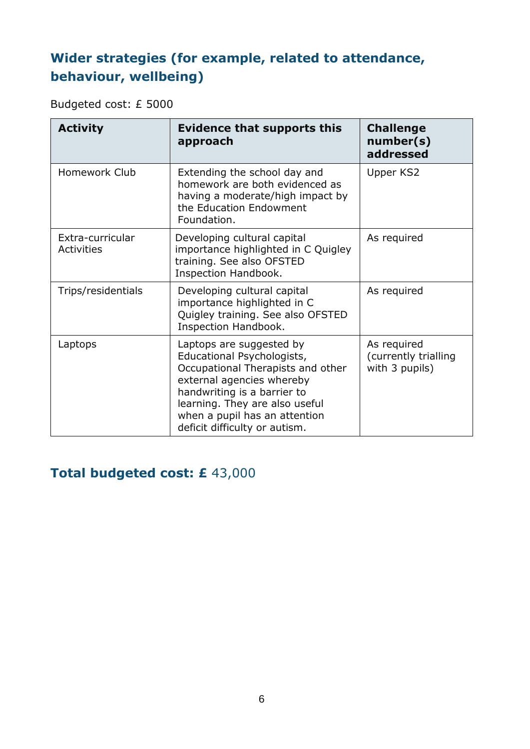#### **Wider strategies (for example, related to attendance, behaviour, wellbeing)**

Budgeted cost: £ 5000

| <b>Activity</b>                       | <b>Evidence that supports this</b><br>approach                                                                                                                                                                                                              | <b>Challenge</b><br>number(s)<br>addressed            |
|---------------------------------------|-------------------------------------------------------------------------------------------------------------------------------------------------------------------------------------------------------------------------------------------------------------|-------------------------------------------------------|
| Homework Club                         | Extending the school day and<br>homework are both evidenced as<br>having a moderate/high impact by<br>the Education Endowment<br>Foundation.                                                                                                                | Upper KS2                                             |
| Extra-curricular<br><b>Activities</b> | Developing cultural capital<br>importance highlighted in C Quigley<br>training. See also OFSTED<br>Inspection Handbook.                                                                                                                                     | As required                                           |
| Trips/residentials                    | Developing cultural capital<br>importance highlighted in C<br>Quigley training. See also OFSTED<br>Inspection Handbook.                                                                                                                                     | As required                                           |
| Laptops                               | Laptops are suggested by<br>Educational Psychologists,<br>Occupational Therapists and other<br>external agencies whereby<br>handwriting is a barrier to<br>learning. They are also useful<br>when a pupil has an attention<br>deficit difficulty or autism. | As required<br>(currently trialling<br>with 3 pupils) |

#### **Total budgeted cost: £** 43,000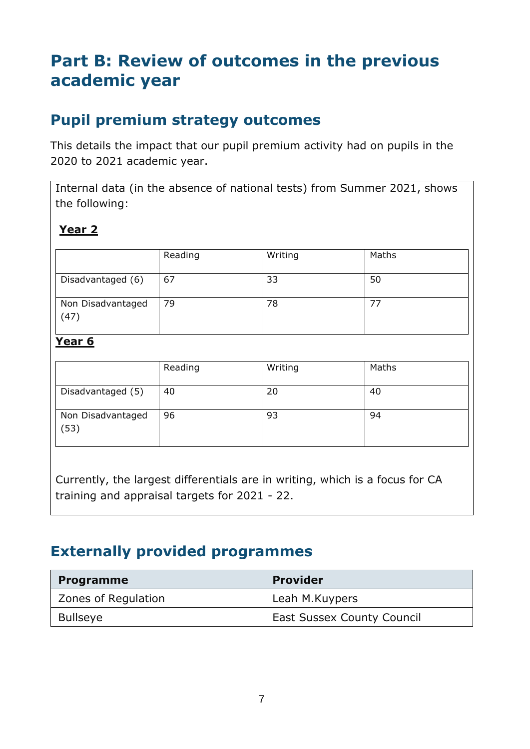## **Part B: Review of outcomes in the previous academic year**

### **Pupil premium strategy outcomes**

This details the impact that our pupil premium activity had on pupils in the 2020 to 2021 academic year.

Internal data (in the absence of national tests) from Summer 2021, shows the following:

#### **Year 2**

|                           | Reading | Writing | Maths |
|---------------------------|---------|---------|-------|
| Disadvantaged (6)         | 67      | 33      | 50    |
| Non Disadvantaged<br>(47) | 79      | 78      |       |

#### **Year 6**

|                           | Reading | Writing | Maths |
|---------------------------|---------|---------|-------|
| Disadvantaged (5)         | 40      | 20      | 40    |
| Non Disadvantaged<br>(53) | 96      | 93      | 94    |

Currently, the largest differentials are in writing, which is a focus for CA training and appraisal targets for 2021 - 22.

### **Externally provided programmes**

| <b>Programme</b>    | <b>Provider</b>                   |
|---------------------|-----------------------------------|
| Zones of Regulation | Leah M.Kuypers                    |
| <b>Bullseye</b>     | <b>East Sussex County Council</b> |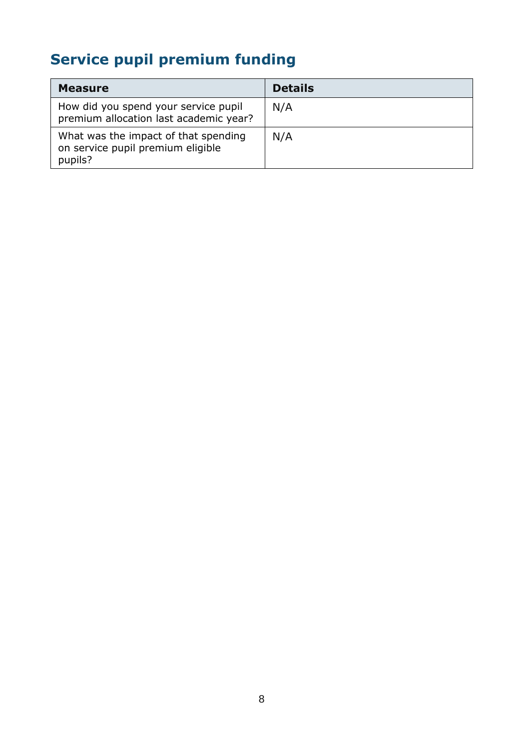# **Service pupil premium funding**

| <b>Measure</b>                                                                       | <b>Details</b> |
|--------------------------------------------------------------------------------------|----------------|
| How did you spend your service pupil<br>premium allocation last academic year?       | N/A            |
| What was the impact of that spending<br>on service pupil premium eligible<br>pupils? | N/A            |